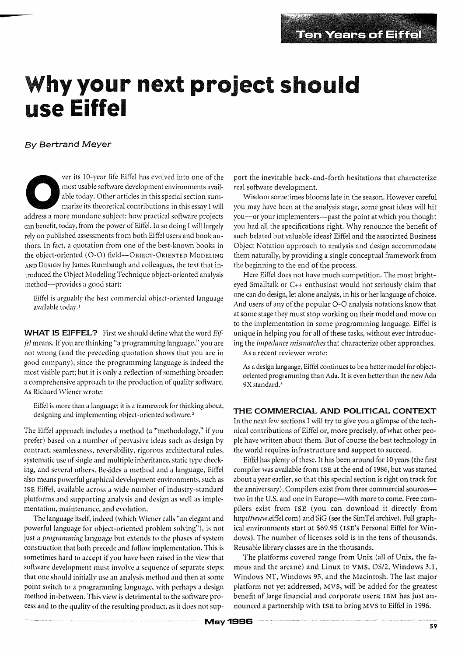## **hy your next project should use Eiffel**

#### **By Bertrand Meyer**

ver its 10-year life Eiffel has evolved into one of the most usable software development environments available today. Other articles in this special section summarize its theoretical contributions; in this essay I will ad most usable software development environments available today. Other articles in this special section summarize its theoretical contributions; in this essay I will can benefit, today, from the power of Eiffel. In so doing I will largely rely on published assessments from both Eiffel users and book authors. In fact, a quotation from one of the best-known books in the object-oriented (O-O) field-OBJECT-ORIENTED MODELING AND DESIGN by James Rumbaugh and colleagues, the text that introduced the Object Modeling Technique object-oriented analysis method-provides a good start:

Eiffel is arguably the best commercial object-oriented language available today.!

**WHAT IS EIFFEL?** First we should define what the word Eif*fel* means. If you are thinking "a programming language," you are not wrong (and the preceding quotation shows that you are in good company), since the programming language is indeed the most visible part; but it is only a reflection of something broader: a comprehensive approach to the production of quality software. As Richard Wiener wrote:

Eiffel is more than a language; it is a framework for thinking about, designing and implementing object-oriented software.<sup>2</sup>

The Eiffel approach includes a method (a "methodology," if you prefer) based on a number of pervasive ideas such as design by contract, seamlessness, reversibility, rigorous architectural rules, systematic use of single and multiple inheritance, static type checking, and several others. Besides a method and a language, Eiffel also means powerful graphical development environments, such as ISE Eiffel, available across a wide number of industry-standard platforms and supporting analysis and design as well as implementation, maintenance, and evolution.

The language itself, indeed (which Wiener calls "an elegant and powerful language for object-oriented problem solving"), is not just a *programming* language but extends to the phases of system construction that both precede and follow implementation. This is sometimes hard to accept if you have been raised in the view that software development must involve a sequence of separate steps; that one should initially use an analysis method and then at some point switch to a programming language, with perhaps a design. method in-between. This view is detrimental to the software process and to the quality of the resulting product, as it does not support the inevitable back-and-forth hesitations that characterize real software development.

Wisdom sometimes blooms late in the season. However careful you may have been at the analysis stage, some great ideas will hit you-or your implementers-past the point at which you thought you had all the specifications right. Why renounce the benefit of such belated but valuable ideas? Eiffel and the associated Business Object Notation approach to analysis and design accommodate them naturally, by providing a single conceptual framework from the beginning to the end of the process.

Here Eiffel does not have much competition. The most brighteyed Smalltalk or c++ enthusiast would not seriously claim that one can do design, let alone analysis, in his or her language of choice. And users of any of the popular 0-0 analysis notations know that at some stage they must stop working on their model and move on to the implementation in some programming language. Eiffel is unique in helping you for all of these tasks, without ever introducing the *impedance mismatches* that characterize other approaches.

As a recent reviewer wrote:

As a design language, Eiffel continues to be a better model for objectoriented programming than Ada. It is even better than the new Ada 9X standard.<sup>3</sup>

#### **THE COMMERCIAL AND POLITICAL CONTEXT**

In the next few sections I will try to give you a glimpse of the technical contributions of Eiffel or, more precisely, of what other people have written about them. But of course the best technology in the world requires infrastructure and support to succeed.

Eiffel has plenty of these. It has been around for 10 years (the first compiler was available from ISE at the end of 1986, but was started about a year earlier, so that this special section is right on track for the anniversary). Compilers exist from three commercial sourcestwo in the U.S. and one in Europe-with more to come. Free compilers exist from ISE (you can download it directly from http://www.eiffel.com) and SiG (see the SimTel archive). Full graphical environments start at \$69.95 (ISE's Personal Eiffel for Windows). The number of licenses sold is in the tens of thousands. Reusable library classes are in the thousands.

The platforms covered range from Unix (all of Unix, the famous and the arcane) and Linux to VMS, OS/2, Windows 3.1, Windows NT, Windows 95, and the Macintosh. The last major platform not yet addressed, MVS, will be added for the greatest benefit of large financial and corporate users; IBM has just announced a partnership with ISE to bring MVS to Eiffel in 1996.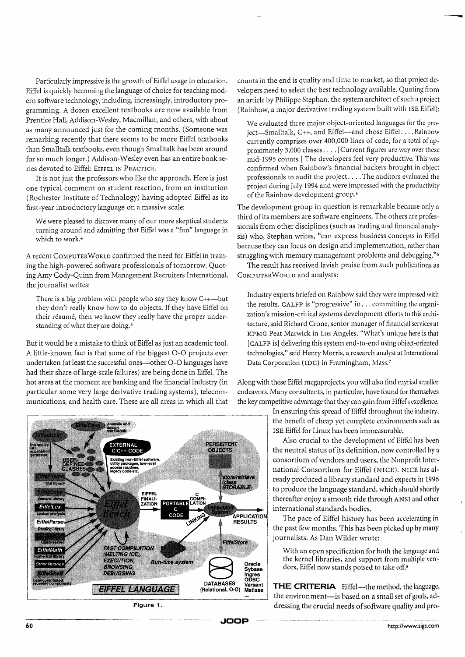Particularly impressive is the growth of Eiffel usage in education. Eiffel is quickly becoming the language of choice for teaching modern software technology, including, increasingly, introductory programming. A dozen excellent textbooks are now available from Prentice Hall, Addison-Wesley, Macmillan, and others, with about as many announced just for the coming months. (Someone was remarking recently that there seems to be more Eiffel textbooks than Smalltalk textbooks, even though Smalltalk has been around for so much longer.) Addison-Wesley even has an entire book series devoted to Eiffel: EIFFEL IN PRACTICE.

It is not just the professors who like the approach. Here is just one typical comment on student reaction, from an institution (Rochester Institute of Technology) having adopted Eiffel as its first-year introductory language on a massive scale:

We were pleased to discover many of our more skeptical students turning around and admitting that Eiffel was a "fun" language in which to work.4

A recent COMPUTER WORLD confirmed the need for Eiffel in training the high-powered software professionals of tomorrow. Quoting Amy Cody-Quinn from Management Recruiters International, the journalist writes:

There is a big problem with people who say they know  $C_{++}$ -but they don't really know how to do objects. If they have Eiffel on their résumé, then we know they really have the proper understanding of what they are doing. <sup>5</sup>

But it would be a mistake to think of Eiffel as just an academic tool. A little-known fact is that some of the biggest 0-0 projects ever undertaken (at least the successful ones---other O-O languages have had their share of large-scale failures) are being done in Eiffel. The hot areas at the moment are banking and the financial industry (in particular some very large derivative trading systems), telecommunications, and health care. These are all areas in which all that



counts in the end is quality and time to market, so that project developers need to select the best technology available. Quoting from an article by Philippe Stephan, the system architect of such a project (Rainbow, a major derivative trading system built with ISE Eiffel):

We evaluated three major object-oriented languages for the project-Smalltalk, C++, and Eiffel-and chose Eiffel....Rainbow currently comprises over 400,000 lines of code, for a total of approximately 3,000 classes .... [Current figures are way over these mid-1995 counts.] The developers feel very productive. This was confirmed when Rainbow's financial backers brought in object professionals to audit the project .... The auditors evaluated the project during July 1994 and were impressed with the productivity of the Rainbow development group.6

The development group in question is remarkable because only a third of its members are software engineers. The others are professionals from other disciplines (such as trading and financial analysis) who, Stephan writes, "can express business concepts in Eiffel because they can focus on design and implementation, rather than struggling with memory management problems and debugging."<sup>6</sup>

The result has received lavish praise from such publications as COMPUTER WORLD and analysts:

Industry experts briefed on Rainbow said they were impressed with the results. CALFP is "progressive" in ... committing the organization's mission-critical systems development efforts to this architecture, said Richard Crone, senior manager of financial services at KPMG Peat Marwick in Los Angeles. "What's unique here is that [CALFP is] delivering this system end-to-end using object-oriented technologies," said Henry Morris, a research analyst at International Data Corporation (IDC) in Framingham, Mass.<sup>7</sup>

Along with these Eiffel megaprojects, you will also find myriad smaller endeavors. Many consultants, in particular, have found for themselves the key competitive advantage that they can gain from Eiffel's excellence.

> In ensuring this spread of Eiffel throughout the industry, the benefit of cheap yet complete environments such as ISE Eiffel for Linux has been immeasurable.

> Also crucial to the development of Eiffel has been the neutral status of its definition. now controlled by a consortium of vendors and users, the Nonprofit International Consortium for Eiffel (NICE). NICE has already produced a library standard and expects in 1996 to produce the language standard, which should shortly thereafter enjoy a smooth ride through ANSI and other international standards bodies.

> The pace of Eiffel history has been accelerating in the past few months. This has heen picked up by many journalists. As Dan Wilder wrote:

With an open specification for both the language and the kernel libraries, and support from multiple vendors, Eiffel now stands poised to take off.<sup>8</sup>

DATABASES Versant **THE CRITERIA** Eiffel-the method, the language, the environment-is based on a small set of goals, addressing the crucial needs of software quality and pro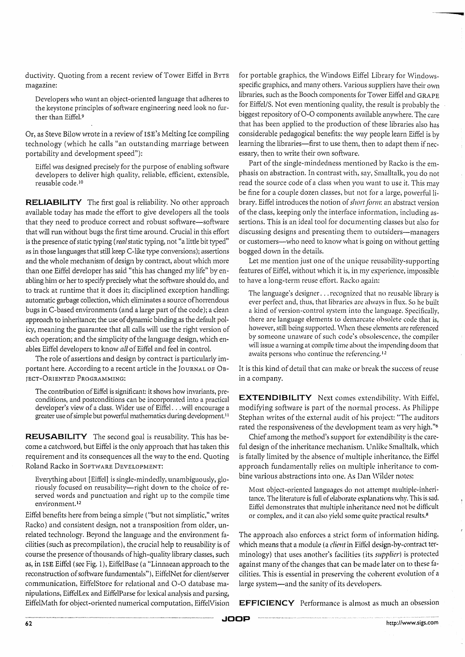ductivity. Quoting from a recent review of Tower Eiffel in BYTE magazine:

Developers who want an object-oriented language that adheres to the keystone principles of software engineering need look no further than Eiffel.<sup>9</sup>

Or, as Steve Bilow wrote in a review of ISE's Melting Ice compiling technology (which he calls "an outstanding marriage between portability and development speed"):

Eiffel was designed precisely for the purpose of enabling software developers to deliver high quality, reliable, efficient, extensible, reusable code.<sup>10</sup>

**RELIABILITY** The first goal is reliability. No other approach available today has made the effort to give developers all the tools that they need to produce correct and robust software-software that will run without bugs the first time around. Crucial in this effort is the presence of static typing (*real* static typing, not "a little bit typed" as in those languages that still keep C-like type conversions); assertions and the whole mechanism of design by contract, about which more than one Eiffel developer has said "this has changed my life" by enabling him or her to specify precisely what the software should do, and to track at runtime that it does it; disciplined exception handling; automatic garbage collection, which eliminates a source of horrendous bugs in C-based environments (and a large part of the code); a clean approach to inheritance; the use of dynamic binding as the default policy, meaning the guarantee that all calls will use the right version of each operation; and the simplicity of the language design, which enables Eiffel developers to know *all* of Eiffel and feel in control.

The role of assertions and design by contract is particularly important here. According to a recent article in the JOURNAL OF OB-JECT-ORIENTED PROGRAMMING:

The contribution of Eiffel is significant: it shows how invariants, preconditions, and postconditions can be incorporated into a practical developer's view of a class. Wider use of Eiffel ... will encourage a greater use of simple but powerful mathematics during development.<sup>11</sup>

**REUSABILITY** The second goal is reusability. This has become a catchword, but Eiffel is the only approach that has taken this requirement and its consequences all the way to the end. Quoting Roland Racko in SOFTWARE DEVELOPMENT:

Everything about [Eiffel] is single-mindedly, unambiguously, gloriously focused on reusability—right down to the choice of reserved words and punctuation and right up to the compile time environment. <sup>12</sup>

Eiffel benefits here from being a simple ("but not simplistic," writes Racko) and consistent design, not a transposition from older, unrelated technology. Beyond the language and the environment facilities (such as precompilation), the crucinl help to reusability is of course the presence of thousands of high-quality library classes, such as, in ISE Eiffcl (see Fig. 1), EiftelBase (a "Linnaean approach to the reconstruction of software fundamentals"), EiffelNet for client/server communication, EiffelStore for relational and 0-0 database manipulations, EiffelLex and EiffelParse for lexical analysis and parsing, EiffeHvlath for object-oriented numerical computation, EiffelVision for portable graphics, the Windows Eiffel Library for Windowsspecific graphics, and many others. Various suppliers have their own libraries, such as the Booch components for Tower Eiffel and GRAPE for EiffellS. Not even mentioning quality, the result is probably the biggest repository of O-O components available anywhere. The care that has been applied to the production of these libraries also has considerable pedagogical benefits: the way people learn Eiffel is by learning the libraries—first to use them, then to adapt them if necessary, then to write their own software.

**caw** 

Part of the single-mindedness mentioned by Racko is the emphasis on abstraction. In contrast with, say, Smalltalk, you do not read the source code of a class when you want to use it. This may be fine for a couple dozen classes, but not for a large, powerful library. Eiffel introduces the notion of *short form*; an abstract version of the class, keeping only the interface information, including assertions. This is an ideal tool for documenting classes but also for discussing designs and presenting them to outsiders-managers or customers-who need to know what is going on without getting bogged down in the details.

Let me mention just one of the unique reusability-supporting features of Eiffel, without which it is, in my experience, impossible to have a long-term reuse effort. Rncko again:

The language's designer ... recognized that no reusable library is ever perfect and, thus, that libraries are always in flux. So he built a kind of version-control system into the language. Specifically, there are language elements to demarcate obsolete code that is, however, still being supported. When these elements are referenced by someone unaware of such code's obsolescence, the compiler will issue a warning at compile time about the impending doom that awaits persons who continue the referencing.<sup>12</sup>

It is this kind of detail that can make or break the success of reuse in a company.

**EXTENDIBILITY** Next comes extendibility. With Eiffel, modifying software is part of the normal process. As Philippe Stephan writes of the external audit of his project: "The auditors rated the responsiveness of the development team as very high."<sup>6</sup>

Chief among the method's support for extendibility is the careful design of the inheritance mechanism. Unlike Smalltalk, which is fatally limited by the absence of multiple inheritance, the Eiffel approach fundamentally relies on multiple inheritance to combine various abstractions into one. As Dan Wilder notes:

Most object-oriented languages do not attempt multiple-inheritance. The literature is full of elaborate explanations why. This is sad. Eiffel demonstrates that multiple inheritance need not be difficult or complex, and it can also yield some quite practical results.<sup>8</sup>

The approach also enforces a strict form of information hiding, which means that a module (a *client* in Eiffel design-by-contract terminology) that uses another's facilities (its *supplier*) is protected against many of the changes that can be mnde later on to these facilities. This is essential in preserving the coherent evolution of a large system-and the sanity of its developers.

**EFFICIENCY** Performance is almost as much an obsession